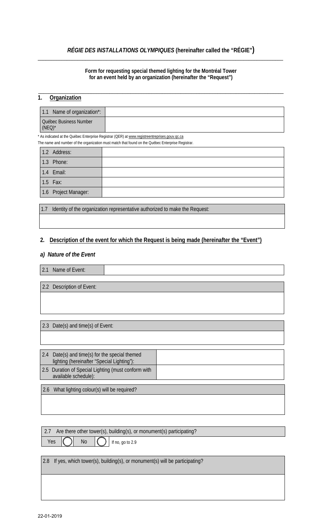## *RÉGIE DES INSTALLATIONS OLYMPIQUES* **(hereinafter called the "RÉGIE")** \_\_\_\_\_\_\_\_\_\_\_\_\_\_\_\_\_\_\_\_\_\_\_\_\_\_\_\_\_\_\_\_\_\_\_\_\_\_\_\_\_\_\_\_\_\_\_\_\_\_\_\_\_\_\_\_\_\_\_\_\_\_\_\_\_\_\_\_\_\_\_\_\_\_\_\_\_\_\_\_\_\_\_\_\_\_\_\_\_\_\_\_\_

#### **Form for requesting special themed lighting for the Montréal Tower for an event held by an organization (hereinafter the "Request")**

\_\_\_\_\_\_\_\_\_\_\_\_\_\_\_\_\_\_\_\_\_\_\_\_\_\_\_\_\_\_\_\_\_\_\_\_\_\_\_\_\_\_\_\_\_\_\_\_\_\_\_\_\_\_\_\_\_\_\_\_\_\_\_\_\_\_\_\_\_\_\_\_\_\_\_\_\_\_\_\_\_\_\_\_\_\_\_\_\_\_\_\_\_

# **1. Organization**

| 1.1 Name of organization*:          |  |
|-------------------------------------|--|
| Québec Business Number<br>$(NEO)^*$ |  |

\* As indicated at the Québec Enterprise Registrar (QER) at www.registreentreprises.gouv.qc.ca

The name and number of the organization must match that found on the Québec Enterprise Registrar.

| 1.2 Address:         |  |
|----------------------|--|
| 1.3 Phone:           |  |
| 1.4 Email:           |  |
| 1.5 Fax:             |  |
| 1.6 Project Manager: |  |
|                      |  |

1.7 Identity of the organization representative authorized to make the Request:

### **2. Description of the event for which the Request is being made (hereinafter the "Event")**

#### *a) Nature of the Event*

2.1 Name of Event:

2.2 Description of Event:

2.3 Date(s) and time(s) of Event:

| 2.4 | Date(s) and time(s) for the special themed<br>lighting (hereinafter "Special Lighting"): |  |
|-----|------------------------------------------------------------------------------------------|--|
|     | 2.5 Duration of Special Lighting (must conform with<br>available schedule):              |  |
|     |                                                                                          |  |

2.6 What lighting colour(s) will be required?

2.7 Are there other tower(s), building(s), or monument(s) participating?

Yes  $\begin{pmatrix} 1 \\ 1 \end{pmatrix}$  No  $\begin{pmatrix} 1 \\ 1 \end{pmatrix}$  If no, go to 2.9

2.8 If yes, which tower(s), building(s), or monument(s) will be participating?